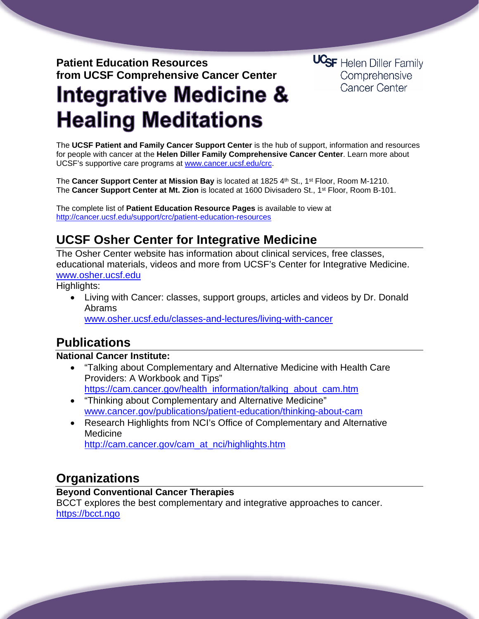### **Patient Education Resources from UCSF Comprehensive Cancer Center**

**UCSF** Helen Diller Family Comprehensive Cancer Center

# **Integrative Medicine & Healing Meditations**

The **UCSF Patient and Family Cancer Support Center** is the hub of support, information and resources for people with cancer at the **Helen Diller Family Comprehensive Cancer Center**. Learn more about UCSF's supportive care programs at [www.cancer.ucsf.edu/crc.](http://www.cancer.ucsf.edu/crc)

The **Cancer Support Center at Mission Bay** is located at 1825 4th St., 1<sup>st</sup> Floor, Room M-1210. The **Cancer Support Center at Mt. Zion** is located at 1600 Divisadero St., 1st Floor, Room B-101.

The complete list of **Patient Education Resource Pages** is available to view at <http://cancer.ucsf.edu/support/crc/patient-education-resources>

# **UCSF Osher Center for Integrative Medicine**

The Osher Center website has information about clinical services, free classes, educational materials, videos and more from UCSF's Center for Integrative Medicine. [www.osher.ucsf.edu](http://www.osher.ucsf.edu/)

Highlights:

• Living with Cancer: classes, support groups, articles and videos by Dr. Donald Abrams

[www.osher.ucsf.edu/classes-and-lectures/living-with-cancer](http://www.osher.ucsf.edu/classes-and-lectures/living-with-cancer)

# **Publications**

#### **National Cancer Institute:**

- "Talking about Complementary and Alternative Medicine with Health Care Providers: A Workbook and Tips" [https://cam.cancer.gov/health\\_information/talking\\_about\\_cam.htm](https://cam.cancer.gov/health_information/talking_about_cam.htm)
- "Thinking about Complementary and Alternative Medicine" [www.cancer.gov/publications/patient-education/thinking-about-cam](http://www.cancer.gov/publications/patient-education/thinking-about-cam)
- Research Highlights from NCI's Office of Complementary and Alternative Medicine [http://cam.cancer.gov/cam\\_at\\_nci/highlights.htm](http://cam.cancer.gov/cam_at_nci/highlights.htm)

## **Organizations**

#### **Beyond Conventional Cancer Therapies**

BCCT explores the best complementary and integrative approaches to cancer. [https://bcct.ngo](https://bcct.ngo/)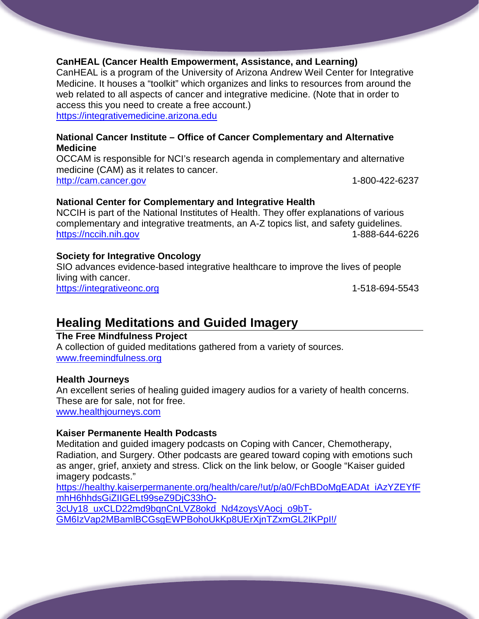#### **CanHEAL (Cancer Health Empowerment, Assistance, and Learning)**

CanHEAL is a program of the University of Arizona Andrew Weil Center for Integrative Medicine. It houses a "toolkit" which organizes and links to resources from around the web related to all aspects of cancer and integrative medicine. (Note that in order to access this you need to create a free account.) [https://integrativemedicine.arizona.edu](https://integrativemedicine.arizona.edu/)

#### **National Cancer Institute – Office of Cancer Complementary and Alternative Medicine**

OCCAM is responsible for NCI's research agenda in complementary and alternative medicine (CAM) as it relates to cancer. [http://cam.cancer.gov](http://cam.cancer.gov/) 1-800-422-6237

#### **National Center for Complementary and Integrative Health**

NCCIH is part of the National Institutes of Health. They offer explanations of various complementary and integrative treatments, an A-Z topics list, and safety guidelines. [https://nccih.nih.gov](https://nccih.nih.gov/) 1-888-644-6226

#### **Society for Integrative Oncology**

SIO advances evidence-based integrative healthcare to improve the lives of people living with cancer. [https://integrativeonc.org](https://integrativeonc.org/) 1-518-694-5543

## **Healing Meditations and Guided Imagery**

#### **The Free Mindfulness Project**

A collection of guided meditations gathered from a variety of sources. [www.freemindfulness.org](http://www.freemindfulness.org/)

#### **Health Journeys**

An excellent series of healing guided imagery audios for a variety of health concerns. These are for sale, not for free.

[www.healthjourneys.com](http://www.healthjourneys.com/)

#### **Kaiser Permanente Health Podcasts**

Meditation and guided imagery podcasts on Coping with Cancer, Chemotherapy, Radiation, and Surgery. Other podcasts are geared toward coping with emotions such as anger, grief, anxiety and stress. Click on the link below, or Google "Kaiser guided imagery podcasts."

[https://healthy.kaiserpermanente.org/health/care/!ut/p/a0/FchBDoMgEADAt\\_iAzYZEYfF](https://healthy.kaiserpermanente.org/health/care/!ut/p/a0/FchBDoMgEADAt_iAzYZEYfFmhH6hhdsGiZIIGELt99seZ9DjC33hO-3cUy18_uxCLD22md9bqnCnLVZ8okd_Nd4zoysVAocj_o9bT-GM6IzVap2MBamlBCGsgEWPBohoUkKp8UErXjnTZxmGL2IKPpI!/) [mhH6hhdsGiZIIGELt99seZ9DjC33hO-](https://healthy.kaiserpermanente.org/health/care/!ut/p/a0/FchBDoMgEADAt_iAzYZEYfFmhH6hhdsGiZIIGELt99seZ9DjC33hO-3cUy18_uxCLD22md9bqnCnLVZ8okd_Nd4zoysVAocj_o9bT-GM6IzVap2MBamlBCGsgEWPBohoUkKp8UErXjnTZxmGL2IKPpI!/)[3cUy18\\_uxCLD22md9bqnCnLVZ8okd\\_Nd4zoysVAocj\\_o9bT-](https://healthy.kaiserpermanente.org/health/care/!ut/p/a0/FchBDoMgEADAt_iAzYZEYfFmhH6hhdsGiZIIGELt99seZ9DjC33hO-3cUy18_uxCLD22md9bqnCnLVZ8okd_Nd4zoysVAocj_o9bT-GM6IzVap2MBamlBCGsgEWPBohoUkKp8UErXjnTZxmGL2IKPpI!/)[GM6IzVap2MBamlBCGsgEWPBohoUkKp8UErXjnTZxmGL2IKPpI!/](https://healthy.kaiserpermanente.org/health/care/!ut/p/a0/FchBDoMgEADAt_iAzYZEYfFmhH6hhdsGiZIIGELt99seZ9DjC33hO-3cUy18_uxCLD22md9bqnCnLVZ8okd_Nd4zoysVAocj_o9bT-GM6IzVap2MBamlBCGsgEWPBohoUkKp8UErXjnTZxmGL2IKPpI!/)